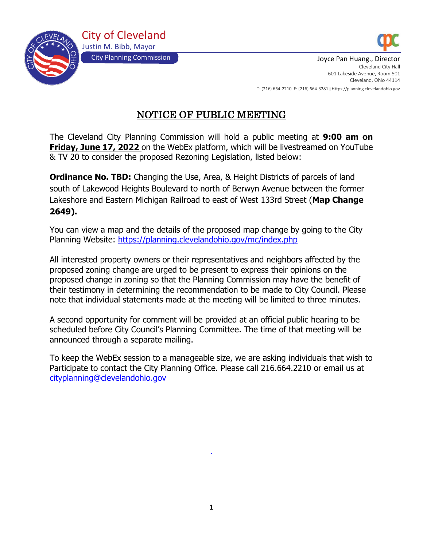



City Planning Commission July 2008 2014 10:30 September 2014 10:40 September 2014 10:40 September 2014 10:40 Cleveland City Hall 601 Lakeside Avenue, Room 501 Cleveland, Ohio 44114 T: (216) 664-2210 F: (216) 664-3281 I Https://planning.clevelandohio.gov

# NOTICE OF PUBLIC MEETING

The Cleveland City Planning Commission will hold a public meeting at **9:00 am on Friday, June 17, 2022** on the WebEx platform, which will be livestreamed on YouTube & TV 20 to consider the proposed Rezoning Legislation, listed below:

**Ordinance No. TBD:** Changing the Use, Area, & Height Districts of parcels of land south of Lakewood Heights Boulevard to north of Berwyn Avenue between the former Lakeshore and Eastern Michigan Railroad to east of West 133rd Street (**Map Change 2649).**

You can view a map and the details of the proposed map change by going to the City Planning Website: <https://planning.clevelandohio.gov/mc/index.php>

All interested property owners or their representatives and neighbors affected by the proposed zoning change are urged to be present to express their opinions on the proposed change in zoning so that the Planning Commission may have the benefit of their testimony in determining the recommendation to be made to City Council. Please note that individual statements made at the meeting will be limited to three minutes.

A second opportunity for comment will be provided at an official public hearing to be scheduled before City Council's Planning Committee. The time of that meeting will be announced through a separate mailing.

To keep the WebEx session to a manageable size, we are asking individuals that wish to Participate to contact the City Planning Office. Please call 216.664.2210 or email us at [cityplanning@clevelandohio.gov](mailto:cityplanning@clevelandohio.gov)

.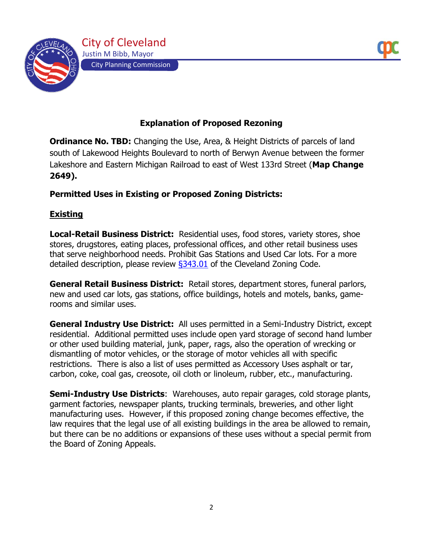

## **Explanation of Proposed Rezoning**

**Ordinance No. TBD:** Changing the Use, Area, & Height Districts of parcels of land south of Lakewood Heights Boulevard to north of Berwyn Avenue between the former Lakeshore and Eastern Michigan Railroad to east of West 133rd Street (**Map Change 2649).**

#### **Permitted Uses in Existing or Proposed Zoning Districts:**

#### **Existing**

**Local-Retail Business District:** Residential uses, food stores, variety stores, shoe stores, drugstores, eating places, professional offices, and other retail business uses that serve neighborhood needs. Prohibit Gas Stations and Used Car lots. For a more detailed description, please review  $\S$ 343.01 of the Cleveland Zoning Code.

**General Retail Business District:** Retail stores, department stores, funeral parlors, new and used car lots, gas stations, office buildings, hotels and motels, banks, gamerooms and similar uses.

**General Industry Use District:** All uses permitted in a Semi-Industry District, except residential. Additional permitted uses include open yard storage of second hand lumber or other used building material, junk, paper, rags, also the operation of wrecking or dismantling of motor vehicles, or the storage of motor vehicles all with specific restrictions. There is also a list of uses permitted as Accessory Uses asphalt or tar, carbon, coke, coal gas, creosote, oil cloth or linoleum, rubber, etc., manufacturing.

**Semi-Industry Use Districts**: Warehouses, auto repair garages, cold storage plants, garment factories, newspaper plants, trucking terminals, breweries, and other light manufacturing uses. However, if this proposed zoning change becomes effective, the law requires that the legal use of all existing buildings in the area be allowed to remain, but there can be no additions or expansions of these uses without a special permit from the Board of Zoning Appeals.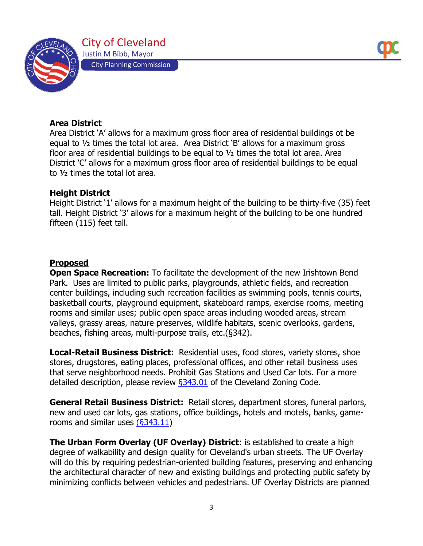

#### **Area District**

Area District 'A' allows for a maximum gross floor area of residential buildings ot be equal to ½ times the total lot area. Area District 'B' allows for a maximum gross floor area of residential buildings to be equal to ½ times the total lot area. Area District 'C' allows for a maximum gross floor area of residential buildings to be equal to ½ times the total lot area.

#### **Height District**

Height District '1' allows for a maximum height of the building to be thirty-five (35) feet tall. Height District '3' allows for a maximum height of the building to be one hundred fifteen (115) feet tall.

### **Proposed**

**Open Space Recreation:** To facilitate the development of the new Irishtown Bend Park.Uses are limited to public parks, playgrounds, athletic fields, and recreation center buildings, including such recreation facilities as swimming pools, tennis courts, basketball courts, playground equipment, skateboard ramps, exercise rooms, meeting rooms and similar uses; public open space areas including wooded areas, stream valleys, grassy areas, nature preserves, wildlife habitats, scenic overlooks, gardens, beaches, fishing areas, multi-purpose trails, etc.(§342).

**Local-Retail Business District:** Residential uses, food stores, variety stores, shoe stores, drugstores, eating places, professional offices, and other retail business uses that serve neighborhood needs. Prohibit Gas Stations and Used Car lots. For a more detailed description, please review  $\S 343.01$  of the Cleveland Zoning Code.

**General Retail Business District:** Retail stores, department stores, funeral parlors, new and used car lots, gas stations, office buildings, hotels and motels, banks, gamerooms and similar uses [\(§343.11\)](https://codelibrary.amlegal.com/codes/cleveland/latest/cleveland_oh/0-0-0-13928#JD_343.11)

**The Urban Form Overlay (UF Overlay) District**: is established to create a high degree of walkability and design quality for Cleveland's urban streets. The UF Overlay will do this by requiring pedestrian-oriented building features, preserving and enhancing the architectural character of new and existing buildings and protecting public safety by minimizing conflicts between vehicles and pedestrians. UF Overlay Districts are planned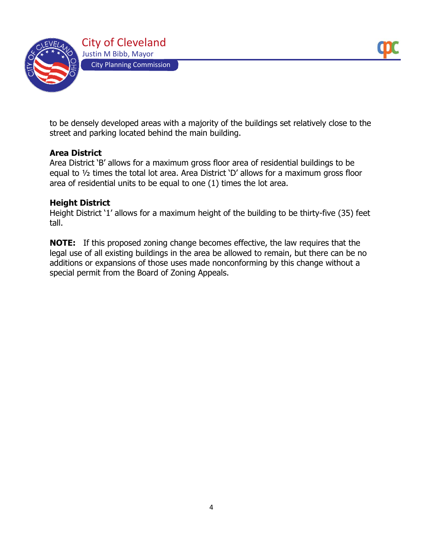

to be densely developed areas with a majority of the buildings set relatively close to the street and parking located behind the main building.

#### **Area District**

Area District 'B' allows for a maximum gross floor area of residential buildings to be equal to ½ times the total lot area. Area District 'D' allows for a maximum gross floor area of residential units to be equal to one (1) times the lot area.

#### **Height District**

Height District '1' allows for a maximum height of the building to be thirty-five (35) feet tall.

**NOTE:** If this proposed zoning change becomes effective, the law requires that the legal use of all existing buildings in the area be allowed to remain, but there can be no additions or expansions of those uses made nonconforming by this change without a special permit from the Board of Zoning Appeals.